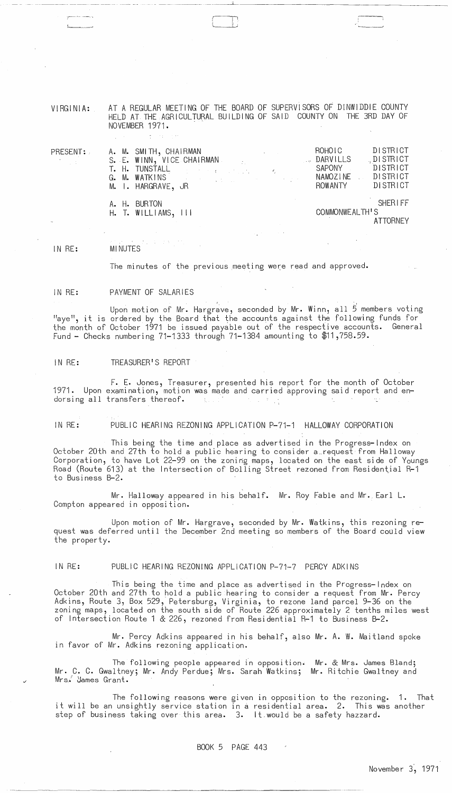VIRGINIA: AT A REGULAR MEETING OF THE BOARD OF SUPERVISORS OF DINWIDDIE COUNTY HELD AT THE AGRICULTURAL BUILDING OF SAID COUNTY ON THE 3RD DAY OF NOVEMBER 1971.

 $\Box$ 

| PRESENT:<br>$\label{eq:2.1} \frac{1}{2} \sum_{i=1}^n \frac{1}{2} \sum_{i=1}^n \frac{1}{2} \sum_{i=1}^n \frac{1}{2} \sum_{i=1}^n \frac{1}{2} \sum_{i=1}^n \frac{1}{2} \sum_{i=1}^n \frac{1}{2} \sum_{i=1}^n \frac{1}{2} \sum_{i=1}^n \frac{1}{2} \sum_{i=1}^n \frac{1}{2} \sum_{i=1}^n \frac{1}{2} \sum_{i=1}^n \frac{1}{2} \sum_{i=1}^n \frac{1}{2} \sum_{i=1}^n \frac{$ | A. M. SMITH, CHAIRMAN<br>M. I. HARGRAVE, JR | the control of the control of the control of<br>S. E. WINN, VICE CHAIRMAN<br>T. H. TUNSTALL And the property of the contract of the contract of the contract of the contract of the contract of the contract of the contract of the contract of the contract of the contract of the contract of the contrac<br>G. M. WATKINS And the second service of the service of the service of the service of the service of the service | ROHOIC<br>DARVILLS<br>SAPONY<br>NAMOZINE<br>ROWANTY | DISTRICT<br>$\Box$ DISTRICT<br><b>DISTRICT</b><br>DISTRICT<br>DISTRICT |
|--------------------------------------------------------------------------------------------------------------------------------------------------------------------------------------------------------------------------------------------------------------------------------------------------------------------------------------------------------------------------|---------------------------------------------|--------------------------------------------------------------------------------------------------------------------------------------------------------------------------------------------------------------------------------------------------------------------------------------------------------------------------------------------------------------------------------------------------------------------------------|-----------------------------------------------------|------------------------------------------------------------------------|
|                                                                                                                                                                                                                                                                                                                                                                          | A. H. BURTON<br>$H.$ T. WILLIAMS, $III$     |                                                                                                                                                                                                                                                                                                                                                                                                                                | COMMONWEALTH'S                                      | SHERIFF<br><b>ATTORNEY</b>                                             |

#### IN RE: MINUTES

 $\frac{1}{2}$ 

The minutes of the previous meeting were read and approved.

#### IN RE: PAYMENT OF SALARIES

Upon motion of Mr. Hargrave, seconded by Mr. Winn, all 5 members voting "aye", it is ordered by the Board that the accounts against the following funds for the month of October 1971 be issued payable out of the respective accounts. General Fund - Checks numbering 71-1333 through 71-1384 amounting to \$11,758.59.

### IN RE: TREASURER'S REPORT

F. E. Jones, Treasurer, presented his report for the month of October 1971. Upon examination, motion was made and carried approving said report and endorsing all transfers thereof. **Carl Corp.** 

IN RE: PUBLIC HEARING REZONING APPLICATION P-71-1 HALLOWAY CORPORATION

This being the time and place as advertised in the Progress-Index on October 20th and 27th to hold a public hearing to consider a request from Halloway Corporation, to have Lot 22-99 on the zoning maps, located on the east side of Youngs Road (Route 613) at the Intersection of Bolling Street rezoned from Residential R-1 to Business B-2.

Mr. Halloway appeared in his behalf. Mr. Roy Fable and Mr. Earl L. Compton appeared in opposition.

Upon motion of Mr. Hargrave, seconded by Mr. Watkins, this rezoning request was deferred until the December 2nd meeting so members of the Board could view the property.

## IN RE: PUBLIC HEARING REZONING APPLICATION P-71-7 PERCY ADKINS

This being the time and place as advertised in the Progress-Index on October 20th and 27th to hold a public hearing to consider a request from Mr. Percy Adkins, Route 3, Box 529, Petersburg, Virginia, to rezone land parcel 9-36 on the zoning maps, located on the south side of Route 226 approximately 2 tenths miles west of Intersection Route 1 & 226, rezoned from Residential R-1 to Business B-2.

Mr. Percy Adkins appeared in his behalf, also Mr. A. W. Maitland spoke in favor of Mr. Adkins rezoning application.

The following people appeared in opposition. Mr. & Mrs. James Bland; me following people appeared in opposition: Mr. & Mrs. James Bland;<br>Mr. C. C. Gwaltney; Mr. Andy Perdue; Mrs. Sarah Watkins; Mr. Ritchie Gwaltney and Mrs. James Grant.

The following reasons were given in opposition to the rezoning. 1. That it will be an unsightly service station in a residential area. 2. This was another step of business taking over this area. 3. It.would be a safety hazzard.

------------\_.\_----------------------------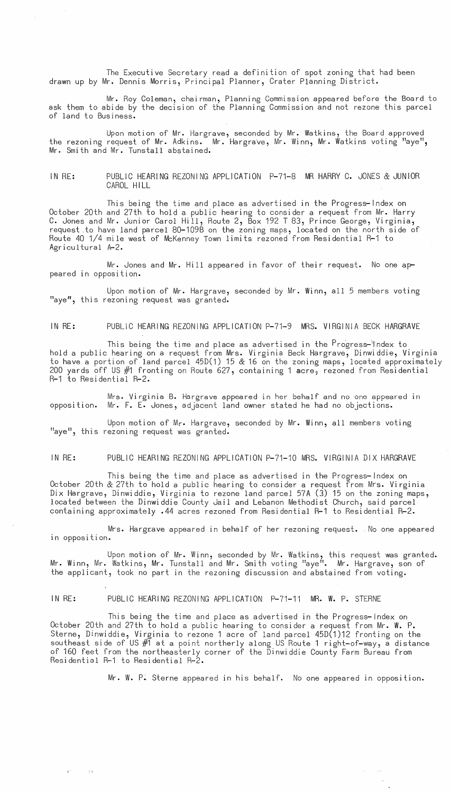The Executive Secretary read a definition of spot zoning that had been drawn up by Mr. Dennis Morris, Principal Planner, Crater Planning District.

Mr. Roy Coleman, chairman, Planning Commission appeared before the Board to ask them to abide by the decision of the Planning Commission and not rezone this parcel of land to Business.

Upon motion of Mr. Hargrave, seconded by Mr. Watkins, the Board approved the rezoning request of Mr. Adkins. Mr. Hargrave, Mr. Winn, Mr. Watkins voting "aye", Mr. Smith and Mr. Tunstall abstained.

IN RE: PUBLIC HEARING REZONING APPLICATION P-71-8 MR HARRY C. JONES & JUNIOR CAROL HILL

This being the time and place as advertised in the Progress-Index on October 20th and 27th to hold a public hearing to consider a request from Mr. Harry C. Jones and Mr. Junior Carol Hill, Route 2, Box 192 T 83, Prince George, Virginia, request .to have land parcel 80-109B on the zoning maps, located on the north side of Route 40 1/4 mile west of McKenney Town limits rezoned from Residential R-1 to Agricultural A-2.

Mr. Jones and Mr. Hill appeared in favor of their request. No one appeared in opposition.

Upon motion of Mr. Hargrave, seconded by Mr. Winn, all 5 members voting "aye", this rezoning request was granted.

IN RE: PUBLIC HEARING REZONING APPLICATION P-71-9 MRS. VIRGINIA BECK HARGRAVE

This being the time and place as advertised in the  $P$ rogress-index to hold a public hearing on a request from Mrs. Virginia Beck Hargrave, Dinwiddie, Virginia to have a portion of land parcel 45D(1) 15 & 16 on the zoning maps, located approximately 200 yards off US  $#1$  fronting on Route 627, containing 1 acre, rezoned from Residential R-1 to Residential R-2.

Mrs. Virginia B. Hargrave appeared in her behalf and no one appeared in opposition. Mr. F. E. Jones, adjacent land owner stated he had no objections.

Upon motion of Mr. Hargrave, seconded by Mr. Winn, all members voting "aye", this rezoning request was granted.

IN RE: PUBLIC HEARING REZONING APPLICATION P-71-10 MRS. VIRGINIA DIX HARGRAVE

This being the time and place as advertised in the Progress-Index on October 20th & 27th to hold a public hearing to consider a request from Mrs. Virginia Dix Hargrave, Dinwiddie, Virginia to rezone land parcel 57A (3) 15 on the zoning maps, located between the Dinwiddie County Jail and Lebanon Methodist Church, said parcel containing approximately .44 acres rezoned from Residential R-1 to Residential R-2.

Mrs. Harg£ave appeared in behalf of her rezoning request. "No one appeared in opposition.

Upon motion of Mr. Winn, seconded by Mr. Watkins, this request was granted. Mr. Winn, Mr. Watkins, Mr. Tunstall and Mr. Smith voting "aye". Mr. Hargrave, son of the applicant, took no part in the rezoning discussion and abstained from voting.

 $\lesssim 7$ 

IN RE: PUBLIC HEARING REZONING APPLICATION P-71-11 MR. W. P. STERNE

This being the time and place as advertised in the Progress-Index on October 20th and 27th to hold a public hearing to consider a request from Mr. W. P. Sterne, Dinwiddie, Virginia to rezone 1 acre of land parcel 45D(1)12 fronting on the southeast side of US  $\#$  at a point northerly along US Route 1 right-of-way, a distance of 160 feet from the northeasterly corner of the Dinwiddie County Farm Bureau from Residential R-1 to Residential R-2.

Mr. W. P. Sterne appeared in his behalf. No one appeared in opposition.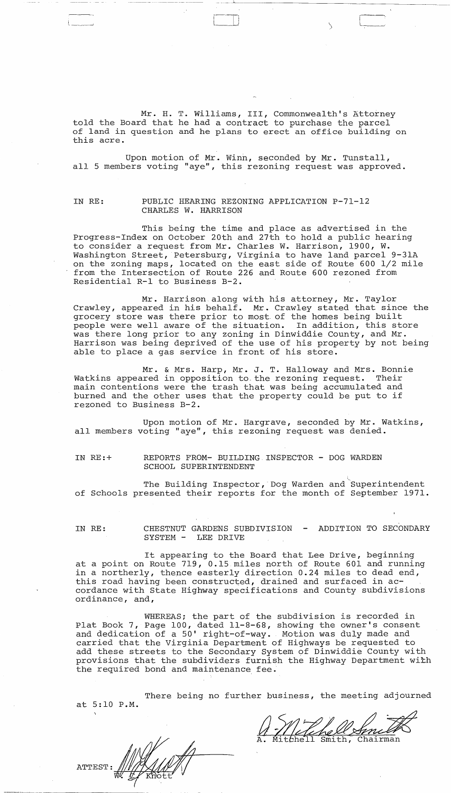Mr. H. T. Williams, III, Commonwealth's Attorney told the Board that he had a contract to purchase the parcel of land in question and he plans to erect an office building on this acre.

 $\Box$ 

--- -~ -----------------

Upon motion of Mr. Winn, seconded by Mr. Tunstall, all 5 members voting "aye", this rezoning request was approved.

## IN RE: PUBLIC HEARING REZONING APPLICATION P-71-12 CHARLES W. HARRISON

This being the time and place as advertised in the Progress-Index on October 20th and 27th to hold a public hearing to consider a request from Mr. Charles W. Harrison, 1900, W. Washington Street, Petersburg, Virginia to have land parcel 9-31A on the zoning maps, located on the east side of Route 600 1/2 mile from the Intersection of Route 226 and Route 600 rezoned from Residential R-l to Business B-2.

Mr. Harrison along with his attorney, Mr. Taylor Crawley, appeared in his behalf. Mr. Crawley stated that since the grocery store was there prior to most of the homes being built people were well aware of the situation. In addition, this store was there long prior to any zoning in Dinwiddie County, and Mr. Harrison was being deprived of the use of his property by not being able to place a gas service in front of his store.

Mr. & Mrs. Harp, Mr. J. T. Halloway and Mrs. Bonnie Watkins appeared in opposition to. the rezoning request. Their main contentions were the trash that was being accumulated and burned and the other uses that the property could be put to if rezoned to Business B-2.

Upon motion of Mr. Hargrave, seconded by Mr. Watkins, all members voting "aye", this rezoning request was denied.

IN RE:+ REPORTS FROM- BUILDING INSPECTOR - DOG WARDEN SCHOOL SUPERINTENDENT

The Building Inspector, Dog Warden and Superintendent of Schools presented their reports for the month of September 1971.

IN RE: CHESTNUT GARDENS SUBDIVISION ADDITION TO SECONDARY SYSTEM - LEE DRIVE

It appearing to the Board that Lee Drive, beginning at a point on Route 719, 0.15 miles north of Route 601 and running in a northerly, thence easterly direction 0.24 miles to dead end, this road having been constructed, drained and surfaced in accordance with State Highway specifications and County subdivisions ordinance, and,

WHEREAS; the part of the subdivision is recorded in Plat Book 7, Page 100, dated 11-8-68, showing the owner's consent and dedication of a 50' right-of-way. Motion was duly made and carried that the Virginia Department of Highways be requested to add these streets to the Secondary System of Dinwiddie County with provisions that the subdividers furnish the Highway Department with the required bond and maintenance fee.

There being no further business, the meeting adjourned at 5:10 P.M.

**ATTEST**